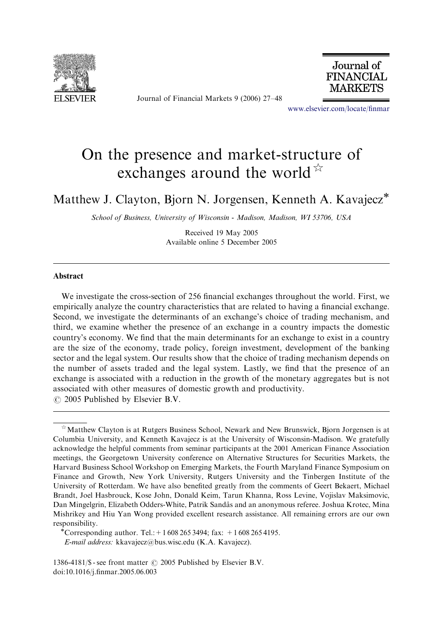

Journal of Financial Markets 9 (2006) 27–48



<www.elsevier.com/locate/finmar>

## On the presence and market-structure of exchanges around the world  $\mathbb{R}$

Matthew J. Clayton, Bjorn N. Jorgensen, Kenneth A. Kavajecz

School of Business, University of Wisconsin - Madison, Madison, WI 53706, USA

Received 19 May 2005 Available online 5 December 2005

## Abstract

We investigate the cross-section of 256 financial exchanges throughout the world. First, we empirically analyze the country characteristics that are related to having a financial exchange. Second, we investigate the determinants of an exchange's choice of trading mechanism, and third, we examine whether the presence of an exchange in a country impacts the domestic country's economy. We find that the main determinants for an exchange to exist in a country are the size of the economy, trade policy, foreign investment, development of the banking sector and the legal system. Our results show that the choice of trading mechanism depends on the number of assets traded and the legal system. Lastly, we find that the presence of an exchange is associated with a reduction in the growth of the monetary aggregates but is not associated with other measures of domestic growth and productivity.  $\odot$  2005 Published by Elsevier B.V.

E-mail address: kkavajecz@bus.wisc.edu (K.A. Kavajecz).

 $\hat{\phi}$  Matthew Clayton is at Rutgers Business School, Newark and New Brunswick, Bjorn Jorgensen is at Columbia University, and Kenneth Kavajecz is at the University of Wisconsin-Madison. We gratefully acknowledge the helpful comments from seminar participants at the 2001 American Finance Association meetings, the Georgetown University conference on Alternative Structures for Securities Markets, the Harvard Business School Workshop on Emerging Markets, the Fourth Maryland Finance Symposium on Finance and Growth, New York University, Rutgers University and the Tinbergen Institute of the University of Rotterdam. We have also benefited greatly from the comments of Geert Bekaert, Michael Brandt, Joel Hasbrouck, Kose John, Donald Keim, Tarun Khanna, Ross Levine, Vojislav Maksimovic, Dan Mingelgrin, Elizabeth Odders-White, Patrik Sandås and an anonymous referee. Joshua Krotec, Mina Mishrikey and Hiu Yan Wong provided excellent research assistance. All remaining errors are our own responsibility.<br>
"Corresponding author. Tel.: + 1 608 265 3494; fax: +1 608 265 4195.

<sup>1386-4181/\$ -</sup> see front matter  $\odot$  2005 Published by Elsevier B.V. doi:10.1016/j.finmar.2005.06.003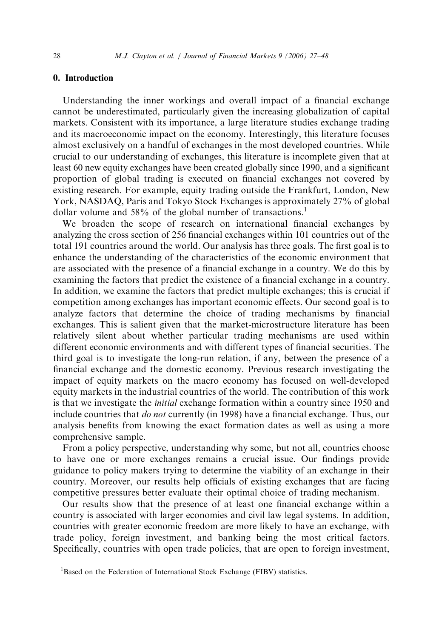## 0. Introduction

Understanding the inner workings and overall impact of a financial exchange cannot be underestimated, particularly given the increasing globalization of capital markets. Consistent with its importance, a large literature studies exchange trading and its macroeconomic impact on the economy. Interestingly, this literature focuses almost exclusively on a handful of exchanges in the most developed countries. While crucial to our understanding of exchanges, this literature is incomplete given that at least 60 new equity exchanges have been created globally since 1990, and a significant proportion of global trading is executed on financial exchanges not covered by existing research. For example, equity trading outside the Frankfurt, London, New York, NASDAQ, Paris and Tokyo Stock Exchanges is approximately 27% of global dollar volume and 58% of the global number of transactions.<sup>1</sup>

We broaden the scope of research on international financial exchanges by analyzing the cross section of 256 financial exchanges within 101 countries out of the total 191 countries around the world. Our analysis has three goals. The first goal is to enhance the understanding of the characteristics of the economic environment that are associated with the presence of a financial exchange in a country. We do this by examining the factors that predict the existence of a financial exchange in a country. In addition, we examine the factors that predict multiple exchanges; this is crucial if competition among exchanges has important economic effects. Our second goal is to analyze factors that determine the choice of trading mechanisms by financial exchanges. This is salient given that the market-microstructure literature has been relatively silent about whether particular trading mechanisms are used within different economic environments and with different types of financial securities. The third goal is to investigate the long-run relation, if any, between the presence of a financial exchange and the domestic economy. Previous research investigating the impact of equity markets on the macro economy has focused on well-developed equity markets in the industrial countries of the world. The contribution of this work is that we investigate the initial exchange formation within a country since 1950 and include countries that do not currently (in 1998) have a financial exchange. Thus, our analysis benefits from knowing the exact formation dates as well as using a more comprehensive sample.

From a policy perspective, understanding why some, but not all, countries choose to have one or more exchanges remains a crucial issue. Our findings provide guidance to policy makers trying to determine the viability of an exchange in their country. Moreover, our results help officials of existing exchanges that are facing competitive pressures better evaluate their optimal choice of trading mechanism.

Our results show that the presence of at least one financial exchange within a country is associated with larger economies and civil law legal systems. In addition, countries with greater economic freedom are more likely to have an exchange, with trade policy, foreign investment, and banking being the most critical factors. Specifically, countries with open trade policies, that are open to foreign investment,

<sup>&</sup>lt;sup>1</sup>Based on the Federation of International Stock Exchange (FIBV) statistics.